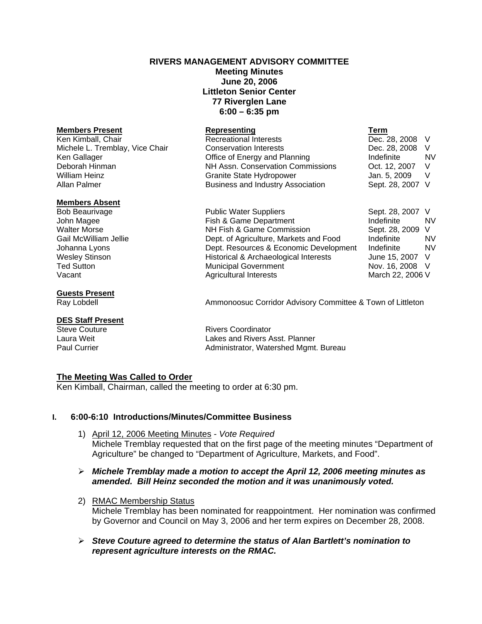# **RIVERS MANAGEMENT ADVISORY COMMITTEE**

## **Meeting Minutes June 20, 2006 Littleton Senior Center 77 Riverglen Lane 6:00 – 6:35 pm**

### **Members Present Construction Representing Construction Term**

### **Members Absent**

### **Guests Present**

# **DES Staff Present**<br>Steve Couture

Ken Kimball, Chair **Recreational Interests Dec. 28, 2008** V Michele L. Tremblay, Vice Chair Conservation Interests Dec. 28, 2008 V Ken Gallager The Contract Contract of Energy and Planning The Indefinite NV NV Deborah Hinman NH Assn. Conservation Commissions Oct. 12, 2007 V William Heinz **Granite State Hydropower** Jan. 5, 2009 V Allan Palmer **Business and Industry Association** Sept. 28, 2007 V

Bob Beaurivage The Rublic Water Suppliers Communic Sept. 28, 2007 V John Magee **Fish & Game Department** Aller indefinite MV Walter Morse **NH Fish & Game Commission** Sept. 28, 2009 V Gail McWilliam Jellie **Dept. of Agriculture, Markets and Food** Indefinite MV Johanna Lyons Dept. Resources & Economic Development Indefinite NV Wesley Stinson **Municipal & Archaeological Interests** June 15, 2007 V<br>Ted Sutton **Municipal Government** Nov. 16, 2008 V Ted Sutton **The Sutton Contract Contract Contract Contract Contract Contract Contract Contract Contract Contract Contract Contract Contract Contract Contract Contract Contract Contract Contract Contract Contract Contract C** Vacant **Agricultural Interests** March 22, 2006 V

Ray Lobdell **Ammonoosuc Corridor Advisory Committee & Town of Littleton** 

Rivers Coordinator Laura Weit Lakes and Rivers Asst. Planner Paul Currier **Administrator**, Watershed Mgmt. Bureau

### **The Meeting Was Called to Order**

Ken Kimball, Chairman, called the meeting to order at 6:30 pm.

# **I. 6:00-6:10 Introductions/Minutes/Committee Business**

- 1) April 12, 2006 Meeting Minutes *Vote Required*  Michele Tremblay requested that on the first page of the meeting minutes "Department of Agriculture" be changed to "Department of Agriculture, Markets, and Food".
- ¾ *Michele Tremblay made a motion to accept the April 12, 2006 meeting minutes as amended. Bill Heinz seconded the motion and it was unanimously voted.*
- 2) RMAC Membership Status Michele Tremblay has been nominated for reappointment. Her nomination was confirmed by Governor and Council on May 3, 2006 and her term expires on December 28, 2008.
- ¾ *Steve Couture agreed to determine the status of Alan Bartlett's nomination to represent agriculture interests on the RMAC.*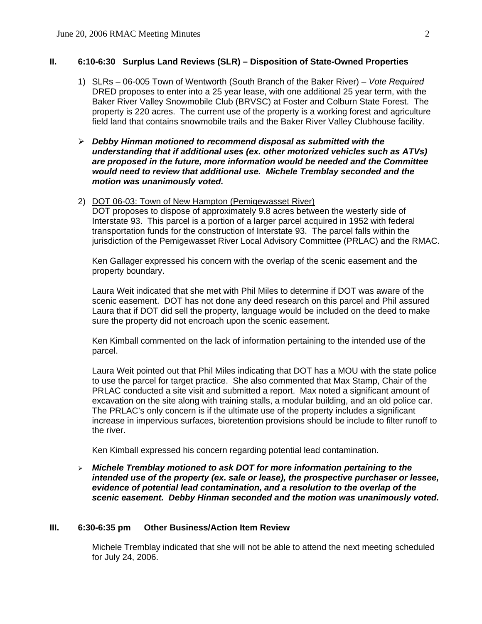## **II. 6:10-6:30 Surplus Land Reviews (SLR) – Disposition of State-Owned Properties**

- 1) SLRs 06-005 Town of Wentworth (South Branch of the Baker River) *Vote Required*  DRED proposes to enter into a 25 year lease, with one additional 25 year term, with the Baker River Valley Snowmobile Club (BRVSC) at Foster and Colburn State Forest. The property is 220 acres. The current use of the property is a working forest and agriculture field land that contains snowmobile trails and the Baker River Valley Clubhouse facility.
- ¾ *Debby Hinman motioned to recommend disposal as submitted with the understanding that if additional uses (ex. other motorized vehicles such as ATVs) are proposed in the future, more information would be needed and the Committee would need to review that additional use. Michele Tremblay seconded and the motion was unanimously voted.*
- 2) DOT 06-03: Town of New Hampton (Pemigewasset River)

DOT proposes to dispose of approximately 9.8 acres between the westerly side of Interstate 93. This parcel is a portion of a larger parcel acquired in 1952 with federal transportation funds for the construction of Interstate 93. The parcel falls within the jurisdiction of the Pemigewasset River Local Advisory Committee (PRLAC) and the RMAC.

Ken Gallager expressed his concern with the overlap of the scenic easement and the property boundary.

Laura Weit indicated that she met with Phil Miles to determine if DOT was aware of the scenic easement. DOT has not done any deed research on this parcel and Phil assured Laura that if DOT did sell the property, language would be included on the deed to make sure the property did not encroach upon the scenic easement.

Ken Kimball commented on the lack of information pertaining to the intended use of the parcel.

Laura Weit pointed out that Phil Miles indicating that DOT has a MOU with the state police to use the parcel for target practice. She also commented that Max Stamp, Chair of the PRLAC conducted a site visit and submitted a report. Max noted a significant amount of excavation on the site along with training stalls, a modular building, and an old police car. The PRLAC's only concern is if the ultimate use of the property includes a significant increase in impervious surfaces, bioretention provisions should be include to filter runoff to the river.

Ken Kimball expressed his concern regarding potential lead contamination.

¾ *Michele Tremblay motioned to ask DOT for more information pertaining to the intended use of the property (ex. sale or lease), the prospective purchaser or lessee, evidence of potential lead contamination, and a resolution to the overlap of the scenic easement. Debby Hinman seconded and the motion was unanimously voted.*

### **III. 6:30-6:35 pm Other Business/Action Item Review**

Michele Tremblay indicated that she will not be able to attend the next meeting scheduled for July 24, 2006.